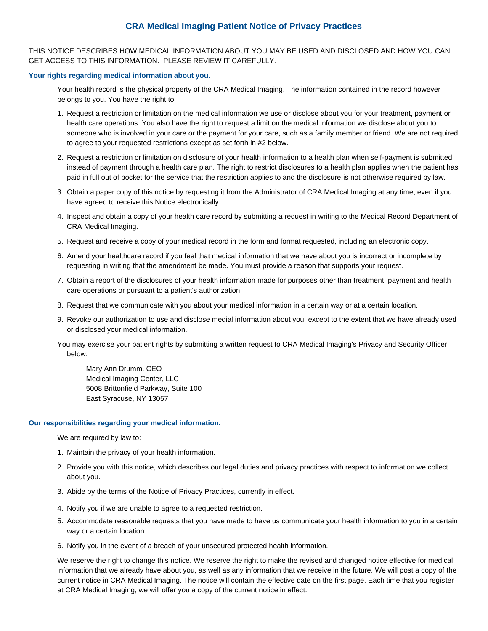# **CRA Medical Imaging Patient Notice of Privacy Practices**

THIS NOTICE DESCRIBES HOW MEDICAL INFORMATION ABOUT YOU MAY BE USED AND DISCLOSED AND HOW YOU CAN GET ACCESS TO THIS INFORMATION. PLEASE REVIEW IT CAREFULLY.

# **Your rights regarding medical information about you.**

Your health record is the physical property of the CRA Medical Imaging. The information contained in the record however belongs to you. You have the right to:

- 1. Request a restriction or limitation on the medical information we use or disclose about you for your treatment, payment or health care operations. You also have the right to request a limit on the medical information we disclose about you to someone who is involved in your care or the payment for your care, such as a family member or friend. We are not required to agree to your requested restrictions except as set forth in #2 below.
- 2. Request a restriction or limitation on disclosure of your health information to a health plan when self-payment is submitted instead of payment through a health care plan. The right to restrict disclosures to a health plan applies when the patient has paid in full out of pocket for the service that the restriction applies to and the disclosure is not otherwise required by law.
- 3. Obtain a paper copy of this notice by requesting it from the Administrator of CRA Medical Imaging at any time, even if you have agreed to receive this Notice electronically.
- 4. Inspect and obtain a copy of your health care record by submitting a request in writing to the Medical Record Department of CRA Medical Imaging.
- 5. Request and receive a copy of your medical record in the form and format requested, including an electronic copy.
- 6. Amend your healthcare record if you feel that medical information that we have about you is incorrect or incomplete by requesting in writing that the amendment be made. You must provide a reason that supports your request.
- 7. Obtain a report of the disclosures of your health information made for purposes other than treatment, payment and health care operations or pursuant to a patient's authorization.
- 8. Request that we communicate with you about your medical information in a certain way or at a certain location.
- 9. Revoke our authorization to use and disclose medial information about you, except to the extent that we have already used or disclosed your medical information.
- You may exercise your patient rights by submitting a written request to CRA Medical Imaging's Privacy and Security Officer below:

Mary Ann Drumm, CEO Medical Imaging Center, LLC 5008 Brittonfield Parkway, Suite 100 East Syracuse, NY 13057

# **Our responsibilities regarding your medical information.**

We are required by law to:

- 1. Maintain the privacy of your health information.
- 2. Provide you with this notice, which describes our legal duties and privacy practices with respect to information we collect about you.
- 3. Abide by the terms of the Notice of Privacy Practices, currently in effect.
- 4. Notify you if we are unable to agree to a requested restriction.
- 5. Accommodate reasonable requests that you have made to have us communicate your health information to you in a certain way or a certain location.
- 6. Notify you in the event of a breach of your unsecured protected health information.

We reserve the right to change this notice. We reserve the right to make the revised and changed notice effective for medical information that we already have about you, as well as any information that we receive in the future. We will post a copy of the current notice in CRA Medical Imaging. The notice will contain the effective date on the first page. Each time that you register at CRA Medical Imaging, we will offer you a copy of the current notice in effect.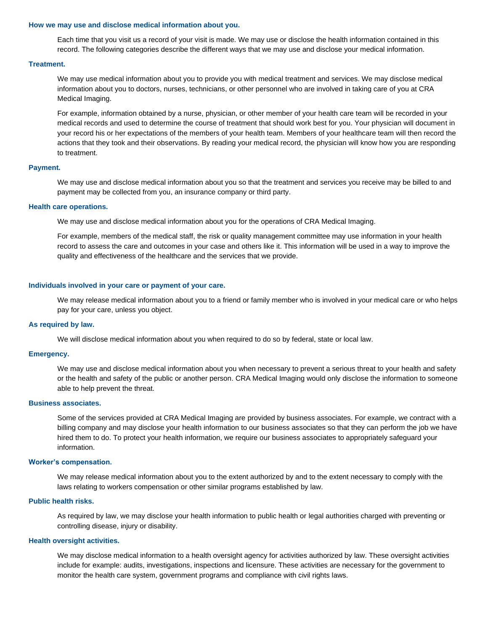# **How we may use and disclose medical information about you.**

Each time that you visit us a record of your visit is made. We may use or disclose the health information contained in this record. The following categories describe the different ways that we may use and disclose your medical information.

# **Treatment.**

We may use medical information about you to provide you with medical treatment and services. We may disclose medical information about you to doctors, nurses, technicians, or other personnel who are involved in taking care of you at CRA Medical Imaging.

For example, information obtained by a nurse, physician, or other member of your health care team will be recorded in your medical records and used to determine the course of treatment that should work best for you. Your physician will document in your record his or her expectations of the members of your health team. Members of your healthcare team will then record the actions that they took and their observations. By reading your medical record, the physician will know how you are responding to treatment.

# **Payment.**

We may use and disclose medical information about you so that the treatment and services you receive may be billed to and payment may be collected from you, an insurance company or third party.

#### **Health care operations.**

We may use and disclose medical information about you for the operations of CRA Medical Imaging.

For example, members of the medical staff, the risk or quality management committee may use information in your health record to assess the care and outcomes in your case and others like it. This information will be used in a way to improve the quality and effectiveness of the healthcare and the services that we provide.

#### **Individuals involved in your care or payment of your care.**

We may release medical information about you to a friend or family member who is involved in your medical care or who helps pay for your care, unless you object.

# **As required by law.**

We will disclose medical information about you when required to do so by federal, state or local law.

# **Emergency.**

We may use and disclose medical information about you when necessary to prevent a serious threat to your health and safety or the health and safety of the public or another person. CRA Medical Imaging would only disclose the information to someone able to help prevent the threat.

# **Business associates.**

Some of the services provided at CRA Medical Imaging are provided by business associates. For example, we contract with a billing company and may disclose your health information to our business associates so that they can perform the job we have hired them to do. To protect your health information, we require our business associates to appropriately safeguard your information.

#### **Worker's compensation.**

We may release medical information about you to the extent authorized by and to the extent necessary to comply with the laws relating to workers compensation or other similar programs established by law.

# **Public health risks.**

As required by law, we may disclose your health information to public health or legal authorities charged with preventing or controlling disease, injury or disability.

# **Health oversight activities.**

We may disclose medical information to a health oversight agency for activities authorized by law. These oversight activities include for example: audits, investigations, inspections and licensure. These activities are necessary for the government to monitor the health care system, government programs and compliance with civil rights laws.